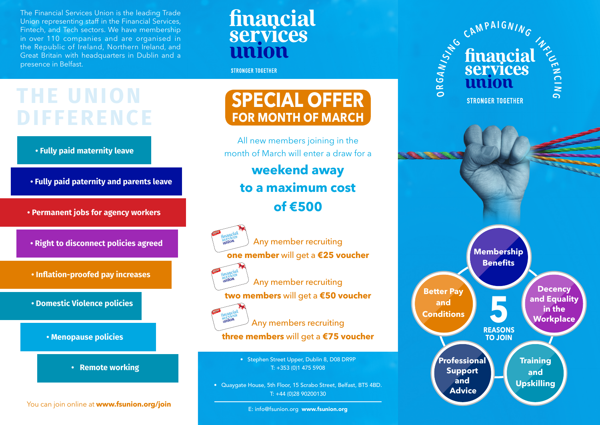The Financial Services Union is the leading Trade Union representing staff in the Financial Services, Fintech, and Tech sectors. We have membership in over 110 companies and are organised in the Republic of Ireland, Northern Ireland, and Great Britain with headquarters in Dublin and a presence in Belfast.

## financial services nnion

**STRONGER TOGETHER** 

# **THE UNION DIFFERENCE**



- **Fully paid paternity and parents leave**
- **Permanent jobs for agency workers**
- **Right to disconnect policies agreed**
- **Inflation-proofed pay increases**

**• Domestic Violence policies**





You can join online at **www.fsunion.org/join**

## **SPECIAL OFFER FOR MONTH OF MARCH**

All new members joining in the month of March will enter a draw for a

### **weekend away to a maximum cost of €500**



Any member recruiting **one member** will get a **€25 voucher**



Any member recruiting

**two members** will get a **€50 voucher**



Any members recruiting **three members** will get a **€75 voucher**

> • Stephen Street Upper, Dublin 8, D08 DR9P T: +353 (0)1 475 5908

• Quaygate House, 5th Floor, 15 Scrabo Street, Belfast, BT5 4BD. T: +44 (0)28 90200130

E: info@fsunion.org www.fsunion.org